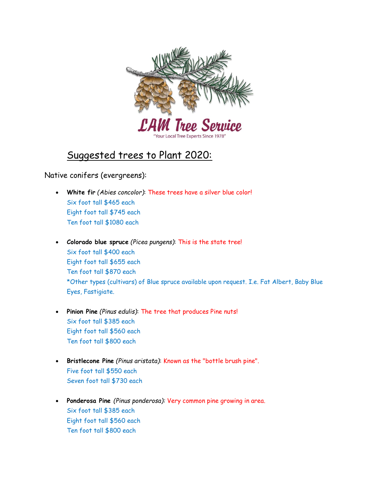

## Suggested trees to Plant 2020:

Native conifers (evergreens):

- White fir (Abies concolor): These trees have a silver blue color! Six foot tall \$465 each Eight foot tall \$745 each Ten foot tall \$1080 each
- Colorado blue spruce (Picea pungens): This is the state tree! Six foot tall \$400 each Eight foot tall \$655 each Ten foot tall \$870 each \*Other types (cultivars) of Blue spruce available upon request. I.e. Fat Albert, Baby Blue Eyes, Fastigiate.
- Pinion Pine (Pinus edulis): The tree that produces Pine nuts! Six foot tall \$385 each Eight foot tall \$560 each Ten foot tall \$800 each
- Bristlecone Pine (Pinus aristata): Known as the "bottle brush pine". Five foot tall \$550 each Seven foot tall \$730 each
- Ponderosa Pine (Pinus ponderosa): Very common pine growing in area. Six foot tall \$385 each Eight foot tall \$560 each Ten foot tall \$800 each